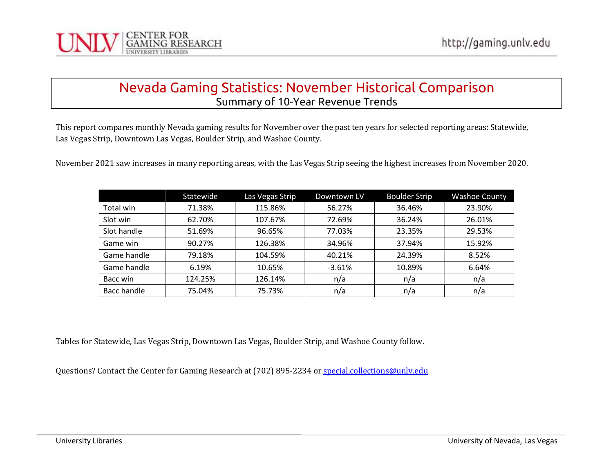

#### Nevada Gaming Statistics: November Historical Comparison Summary of 10-Year Revenue Trends

This report compares monthly Nevada gaming results for November over the past ten years for selected reporting areas: Statewide, Las Vegas Strip, Downtown Las Vegas, Boulder Strip, and Washoe County.

November 2021 saw increases in many reporting areas, with the Las Vegas Strip seeing the highest increases from November 2020.

|             | Statewide | Las Vegas Strip | Downtown LV | <b>Boulder Strip</b> | <b>Washoe County</b> |
|-------------|-----------|-----------------|-------------|----------------------|----------------------|
| Total win   | 71.38%    | 115.86%         | 56.27%      | 36.46%               | 23.90%               |
| Slot win    | 62.70%    | 107.67%         | 72.69%      | 36.24%               | 26.01%               |
| Slot handle | 51.69%    | 96.65%          | 77.03%      | 23.35%               | 29.53%               |
| Game win    | 90.27%    | 126.38%         | 34.96%      | 37.94%               | 15.92%               |
| Game handle | 79.18%    | 104.59%         | 40.21%      | 24.39%               | 8.52%                |
| Game handle | 6.19%     | 10.65%          | $-3.61%$    | 10.89%               | 6.64%                |
| Bacc win    | 124.25%   | 126.14%         | n/a         | n/a                  | n/a                  |
| Bacc handle | 75.04%    | 75.73%          | n/a         | n/a                  | n/a                  |

Tables for Statewide, Las Vegas Strip, Downtown Las Vegas, Boulder Strip, and Washoe County follow.

Questions? Contact the Center for Gaming Research at (702) 895-2234 or special.collections@unly.edu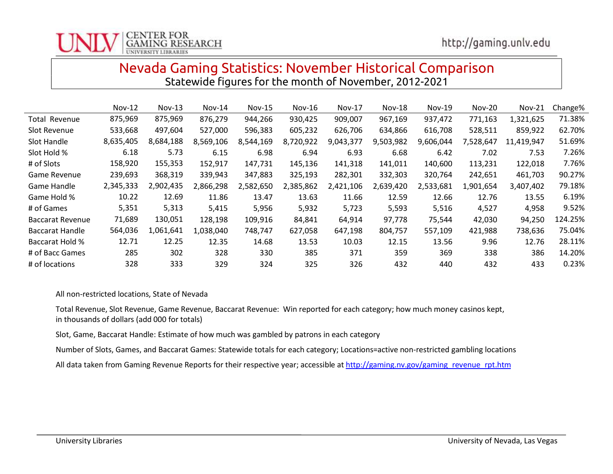# Nevada Gaming Statistics: November Historical Comparison Statewide figures for the month of November, 2012-2021

|                         | $Nov-12$  | $Nov-13$  | $Nov-14$  | <b>Nov-15</b> | $Nov-16$  | $Nov-17$  | $Nov-18$  | $Nov-19$  | $Nov-20$  | <b>Nov-21</b> | Change% |
|-------------------------|-----------|-----------|-----------|---------------|-----------|-----------|-----------|-----------|-----------|---------------|---------|
| <b>Total Revenue</b>    | 875,969   | 875,969   | 876,279   | 944,266       | 930,425   | 909,007   | 967,169   | 937,472   | 771,163   | 1,321,625     | 71.38%  |
| Slot Revenue            | 533,668   | 497,604   | 527,000   | 596,383       | 605,232   | 626,706   | 634,866   | 616,708   | 528,511   | 859,922       | 62.70%  |
| Slot Handle             | 8,635,405 | 8,684,188 | 8,569,106 | 8,544,169     | 8,720,922 | 9,043,377 | 9,503,982 | 9,606,044 | 7,528,647 | 11,419,947    | 51.69%  |
| Slot Hold %             | 6.18      | 5.73      | 6.15      | 6.98          | 6.94      | 6.93      | 6.68      | 6.42      | 7.02      | 7.53          | 7.26%   |
| # of Slots              | 158,920   | 155,353   | 152,917   | 147,731       | 145,136   | 141,318   | 141,011   | 140,600   | 113,231   | 122,018       | 7.76%   |
| Game Revenue            | 239,693   | 368,319   | 339,943   | 347,883       | 325,193   | 282,301   | 332,303   | 320,764   | 242,651   | 461,703       | 90.27%  |
| Game Handle             | 2,345,333 | 2,902,435 | 2,866,298 | 2,582,650     | 2,385,862 | 2,421,106 | 2,639,420 | 2,533,681 | 1,901,654 | 3,407,402     | 79.18%  |
| Game Hold %             | 10.22     | 12.69     | 11.86     | 13.47         | 13.63     | 11.66     | 12.59     | 12.66     | 12.76     | 13.55         | 6.19%   |
| # of Games              | 5,351     | 5,313     | 5,415     | 5,956         | 5,932     | 5,723     | 5,593     | 5,516     | 4,527     | 4,958         | 9.52%   |
| <b>Baccarat Revenue</b> | 71,689    | 130,051   | 128,198   | 109,916       | 84,841    | 64,914    | 97,778    | 75,544    | 42,030    | 94,250        | 124.25% |
| Baccarat Handle         | 564,036   | 1,061,641 | 1,038,040 | 748,747       | 627,058   | 647,198   | 804,757   | 557,109   | 421,988   | 738,636       | 75.04%  |
| Baccarat Hold %         | 12.71     | 12.25     | 12.35     | 14.68         | 13.53     | 10.03     | 12.15     | 13.56     | 9.96      | 12.76         | 28.11%  |
| # of Bacc Games         | 285       | 302       | 328       | 330           | 385       | 371       | 359       | 369       | 338       | 386           | 14.20%  |
| # of locations          | 328       | 333       | 329       | 324           | 325       | 326       | 432       | 440       | 432       | 433           | 0.23%   |

All non-restricted locations, State of Nevada

Total Revenue, Slot Revenue, Game Revenue, Baccarat Revenue: Win reported for each category; how much money casinos kept, in thousands of dollars (add 000 for totals)

Slot, Game, Baccarat Handle: Estimate of how much was gambled by patrons in each category

Number of Slots, Games, and Baccarat Games: Statewide totals for each category; Locations=active non-restricted gambling locations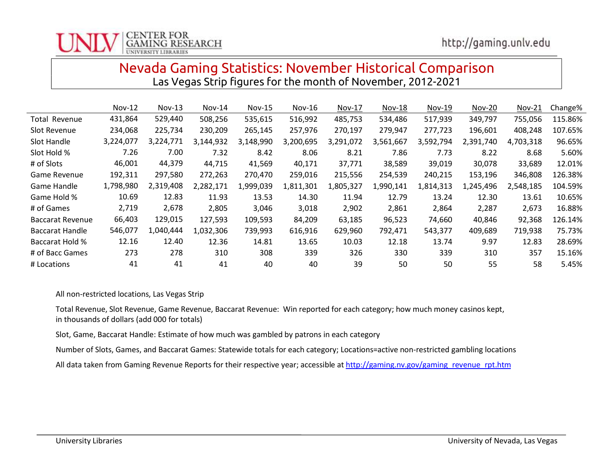# Nevada Gaming Statistics: November Historical Comparison Las Vegas Strip figures for the month of November, 2012-2021

|                         | $Nov-12$  | $Nov-13$  | $Nov-14$  | <b>Nov-15</b> | $Nov-16$  | <b>Nov-17</b> | <b>Nov-18</b> | Nov-19    | <b>Nov-20</b> | Nov-21    | Change% |
|-------------------------|-----------|-----------|-----------|---------------|-----------|---------------|---------------|-----------|---------------|-----------|---------|
| Total Revenue           | 431,864   | 529,440   | 508,256   | 535,615       | 516,992   | 485,753       | 534,486       | 517,939   | 349,797       | 755,056   | 115.86% |
| Slot Revenue            | 234,068   | 225,734   | 230,209   | 265,145       | 257,976   | 270,197       | 279,947       | 277,723   | 196,601       | 408,248   | 107.65% |
| Slot Handle             | 3,224,077 | 3,224,771 | 3,144,932 | 3,148,990     | 3,200,695 | 3,291,072     | 3,561,667     | 3,592,794 | 2,391,740     | 4,703,318 | 96.65%  |
| Slot Hold %             | 7.26      | 7.00      | 7.32      | 8.42          | 8.06      | 8.21          | 7.86          | 7.73      | 8.22          | 8.68      | 5.60%   |
| # of Slots              | 46,001    | 44,379    | 44,715    | 41,569        | 40,171    | 37,771        | 38,589        | 39,019    | 30,078        | 33,689    | 12.01%  |
| <b>Game Revenue</b>     | 192,311   | 297,580   | 272,263   | 270,470       | 259,016   | 215,556       | 254,539       | 240,215   | 153,196       | 346,808   | 126.38% |
| Game Handle             | 1,798,980 | 2,319,408 | 2,282,171 | 1,999,039     | 1,811,301 | 1,805,327     | 1,990,141     | 1,814,313 | 1,245,496     | 2,548,185 | 104.59% |
| Game Hold %             | 10.69     | 12.83     | 11.93     | 13.53         | 14.30     | 11.94         | 12.79         | 13.24     | 12.30         | 13.61     | 10.65%  |
| # of Games              | 2,719     | 2,678     | 2,805     | 3,046         | 3,018     | 2,902         | 2,861         | 2,864     | 2,287         | 2,673     | 16.88%  |
| <b>Baccarat Revenue</b> | 66,403    | 129,015   | 127,593   | 109,593       | 84,209    | 63,185        | 96,523        | 74,660    | 40,846        | 92,368    | 126.14% |
| <b>Baccarat Handle</b>  | 546,077   | 1.040.444 | 1,032,306 | 739,993       | 616,916   | 629,960       | 792,471       | 543,377   | 409,689       | 719,938   | 75.73%  |
| <b>Baccarat Hold %</b>  | 12.16     | 12.40     | 12.36     | 14.81         | 13.65     | 10.03         | 12.18         | 13.74     | 9.97          | 12.83     | 28.69%  |
| # of Bacc Games         | 273       | 278       | 310       | 308           | 339       | 326           | 330           | 339       | 310           | 357       | 15.16%  |
| # Locations             | 41        | 41        | 41        | 40            | 40        | 39            | 50            | 50        | 55            | 58        | 5.45%   |

All non-restricted locations, Las Vegas Strip

Total Revenue, Slot Revenue, Game Revenue, Baccarat Revenue: Win reported for each category; how much money casinos kept, in thousands of dollars (add 000 for totals)

Slot, Game, Baccarat Handle: Estimate of how much was gambled by patrons in each category

Number of Slots, Games, and Baccarat Games: Statewide totals for each category; Locations=active non-restricted gambling locations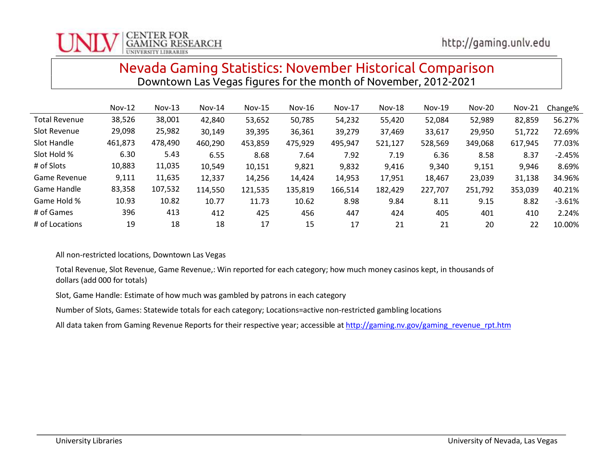# Nevada Gaming Statistics: November Historical Comparison Downtown Las Vegas figures for the month of November, 2012-2021

|                      | $Nov-12$ | $Nov-13$ | $Nov-14$ | $Nov-15$ | $Nov-16$ | $Nov-17$ | $Nov-18$ | $Nov-19$ | $Nov-20$ | $Nov-21$ | Change%   |
|----------------------|----------|----------|----------|----------|----------|----------|----------|----------|----------|----------|-----------|
| <b>Total Revenue</b> | 38,526   | 38,001   | 42,840   | 53,652   | 50,785   | 54,232   | 55,420   | 52,084   | 52,989   | 82,859   | 56.27%    |
| Slot Revenue         | 29,098   | 25,982   | 30,149   | 39,395   | 36,361   | 39,279   | 37,469   | 33,617   | 29,950   | 51,722   | 72.69%    |
| Slot Handle          | 461,873  | 478,490  | 460,290  | 453,859  | 475,929  | 495,947  | 521,127  | 528,569  | 349,068  | 617,945  | 77.03%    |
| Slot Hold %          | 6.30     | 5.43     | 6.55     | 8.68     | 7.64     | 7.92     | 7.19     | 6.36     | 8.58     | 8.37     | $-2.45%$  |
| # of Slots           | 10,883   | 11,035   | 10,549   | 10,151   | 9,821    | 9,832    | 9,416    | 9,340    | 9,151    | 9,946    | 8.69%     |
| Game Revenue         | 9,111    | 11,635   | 12,337   | 14,256   | 14,424   | 14,953   | 17,951   | 18,467   | 23,039   | 31,138   | 34.96%    |
| Game Handle          | 83,358   | 107,532  | 114,550  | 121,535  | 135,819  | 166,514  | 182,429  | 227,707  | 251,792  | 353,039  | 40.21%    |
| Game Hold %          | 10.93    | 10.82    | 10.77    | 11.73    | 10.62    | 8.98     | 9.84     | 8.11     | 9.15     | 8.82     | $-3.61\%$ |
| # of Games           | 396      | 413      | 412      | 425      | 456      | 447      | 424      | 405      | 401      | 410      | 2.24%     |
| # of Locations       | 19       | 18       | 18       | 17       | 15       | 17       | 21       | 21       | 20       | 22       | 10.00%    |

All non-restricted locations, Downtown Las Vegas

Total Revenue, Slot Revenue, Game Revenue,: Win reported for each category; how much money casinos kept, in thousands of dollars (add 000 for totals)

Slot, Game Handle: Estimate of how much was gambled by patrons in each category

Number of Slots, Games: Statewide totals for each category; Locations=active non-restricted gambling locations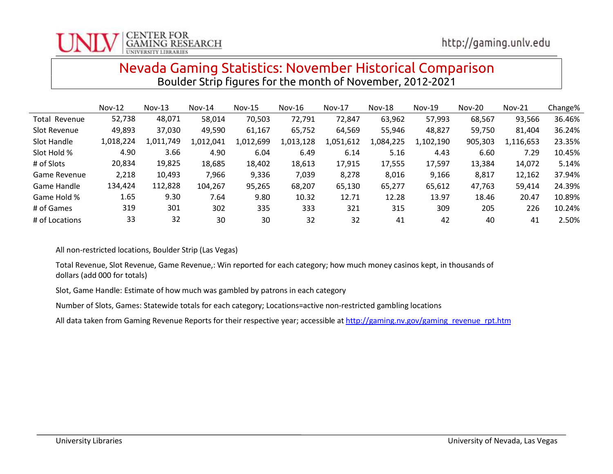# Nevada Gaming Statistics: November Historical Comparison Boulder Strip figures for the month of November, 2012-2021

|                | $Nov-12$  | $Nov-13$  | $Nov-14$  | $Nov-15$  | $Nov-16$  | <b>Nov-17</b> | $Nov-18$  | $Nov-19$  | <b>Nov-20</b> | $Nov-21$  | Change% |
|----------------|-----------|-----------|-----------|-----------|-----------|---------------|-----------|-----------|---------------|-----------|---------|
| Total Revenue  | 52,738    | 48,071    | 58,014    | 70,503    | 72,791    | 72,847        | 63,962    | 57,993    | 68,567        | 93,566    | 36.46%  |
| Slot Revenue   | 49,893    | 37,030    | 49,590    | 61,167    | 65,752    | 64,569        | 55,946    | 48,827    | 59,750        | 81,404    | 36.24%  |
| Slot Handle    | 1,018,224 | 1,011,749 | 1,012,041 | 1,012,699 | 1,013,128 | 1,051,612     | 1,084,225 | 1,102,190 | 905,303       | 1,116,653 | 23.35%  |
| Slot Hold %    | 4.90      | 3.66      | 4.90      | 6.04      | 6.49      | 6.14          | 5.16      | 4.43      | 6.60          | 7.29      | 10.45%  |
| # of Slots     | 20,834    | 19,825    | 18,685    | 18,402    | 18,613    | 17,915        | 17,555    | 17,597    | 13,384        | 14,072    | 5.14%   |
| Game Revenue   | 2,218     | 10,493    | 7,966     | 9,336     | 7,039     | 8,278         | 8,016     | 9,166     | 8,817         | 12,162    | 37.94%  |
| Game Handle    | 134,424   | 112,828   | 104,267   | 95,265    | 68,207    | 65,130        | 65,277    | 65,612    | 47,763        | 59,414    | 24.39%  |
| Game Hold %    | 1.65      | 9.30      | 7.64      | 9.80      | 10.32     | 12.71         | 12.28     | 13.97     | 18.46         | 20.47     | 10.89%  |
| # of Games     | 319       | 301       | 302       | 335       | 333       | 321           | 315       | 309       | 205           | 226       | 10.24%  |
| # of Locations | 33        | 32        | 30        | 30        | 32        | 32            | 41        | 42        | 40            | 41        | 2.50%   |

All non-restricted locations, Boulder Strip (Las Vegas)

Total Revenue, Slot Revenue, Game Revenue,: Win reported for each category; how much money casinos kept, in thousands of dollars (add 000 for totals)

Slot, Game Handle: Estimate of how much was gambled by patrons in each category

Number of Slots, Games: Statewide totals for each category; Locations=active non-restricted gambling locations